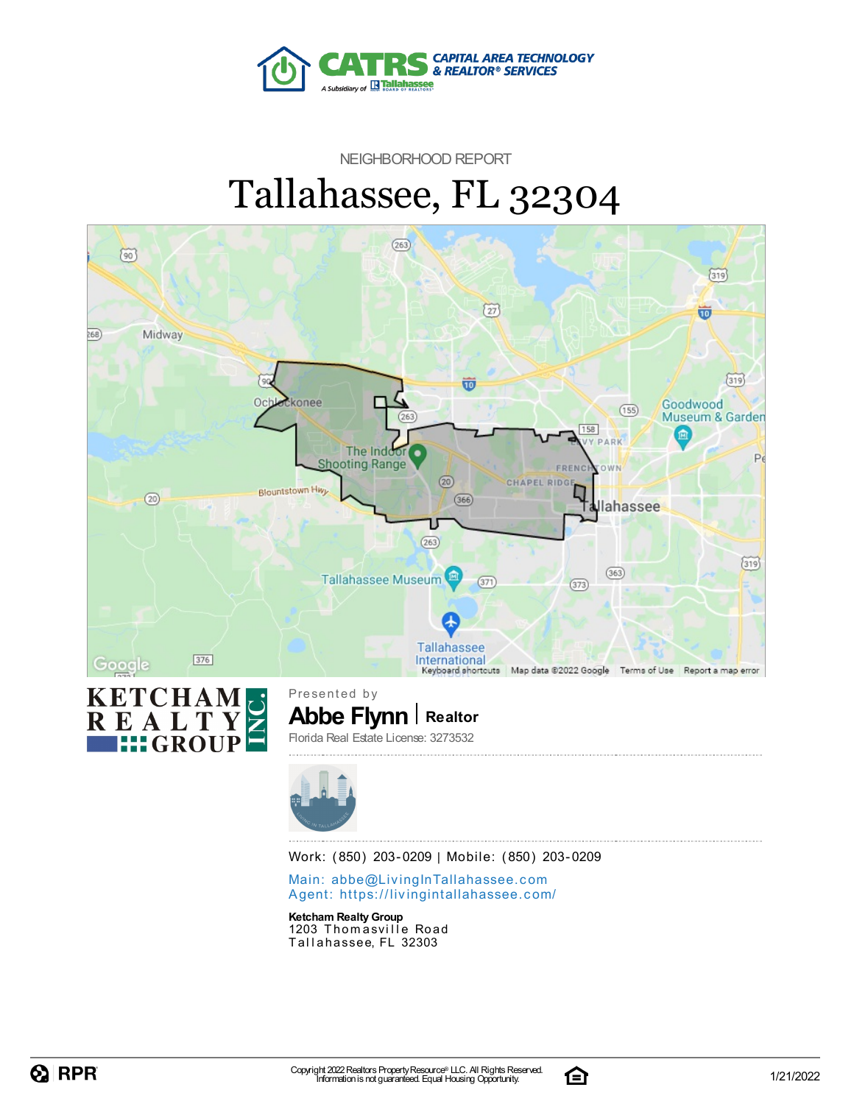

#### NEIGHBORHOOD REPORT

# Tallahassee, FL 32304





Work: (850) 203-0209 | Mobile: (850) 203-0209

Main: abbe@LivingInTallaha[sse](mailto:abbe@LivingInTallahassee.com)e.com Agent: https://livingintallaha[sse](https://livingintallahassee.com/)e.com/

**Ketcham RealtyGroup** 1203 Thomasville Road Tallahassee, FL 32303

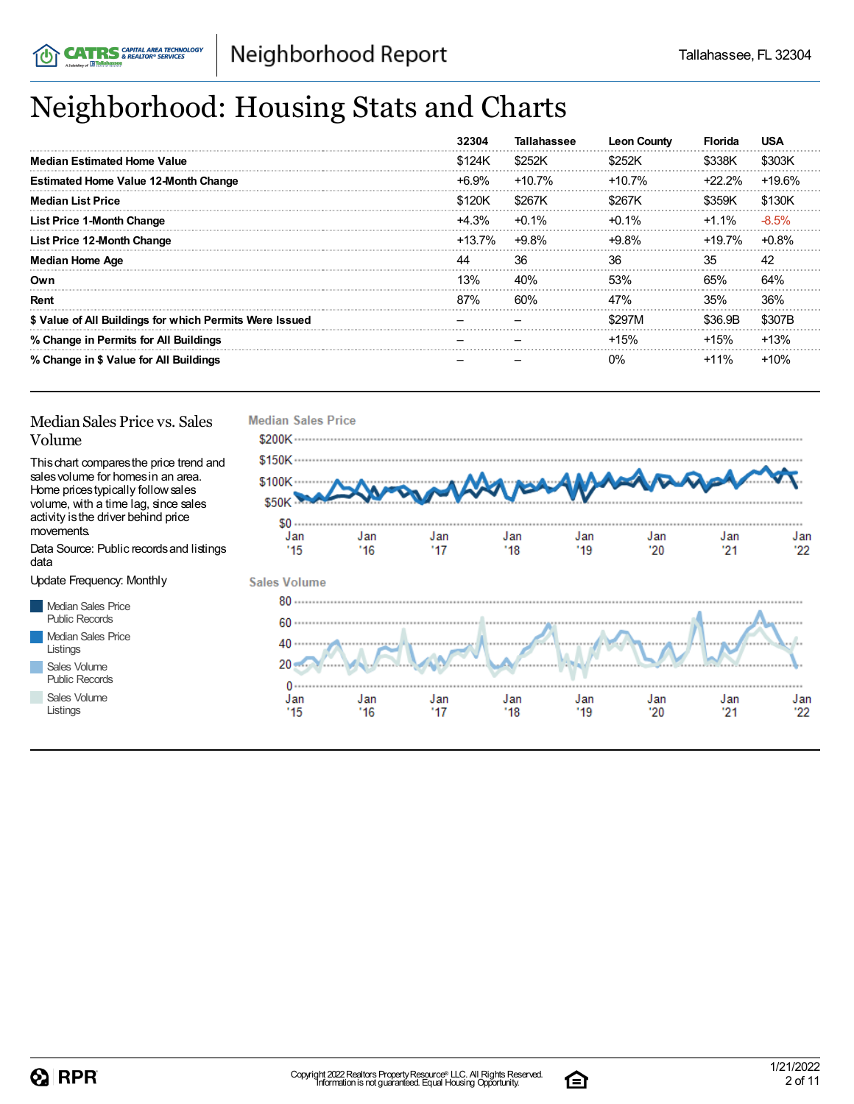## Neighborhood: Housing Stats and Charts

|                                                         | 32304   | <b>Tallahassee</b> | <b>Leon County</b> | <b>Florida</b> | <b>USA</b> |
|---------------------------------------------------------|---------|--------------------|--------------------|----------------|------------|
| <b>Median Estimated Home Value</b>                      | \$124K  | \$252K             | \$252K             | \$338K         | \$303K     |
| <b>Estimated Home Value 12-Month Change</b>             | +6.9%   | $+10.7%$           | $+10.7%$           | +22.2%         | $+19.6%$   |
| <b>Median List Price</b>                                | \$120K  | \$267K             | \$267K             | \$359K         | \$130K     |
| <b>List Price 1-Month Change</b>                        | $+4.3%$ | $+0.1%$            | $+0.1\%$           | +1.1%          | $-8.5%$    |
| List Price 12-Month Change                              | +13.7%  | +9.8%              | +9.8%              | +19.7%         | $+0.8%$    |
| <b>Median Home Age</b>                                  | 44      | 36                 | 36                 | 35             | 42         |
| Own                                                     | 13%     | 40%                | 53%                | 65%            | 64%        |
| Rent                                                    | 87%     | 60%                | 47%                | 35%            | 36%        |
| \$ Value of All Buildings for which Permits Were Issued |         |                    | \$297M             | \$36.9B        | \$307B     |
| % Change in Permits for All Buildings                   |         |                    | $+15%$             | $+15%$         | $+13%$     |
| % Change in \$ Value for All Buildings                  |         |                    | $0\%$              | $+11%$         | $+10%$     |

#### Median Sales Price vs. Sales Volume

Thischart comparesthe price trend and salesvolume for homesin an area. Home pricestypically followsales volume, with a time lag, since sales activity isthe driver behind price movements.

Data Source: Public recordsand listings data

Update Frequency: Monthly

Median Sales Price Public Records Median Sales Price Listings

Sales Volume Public Records

Sales Volume Listings



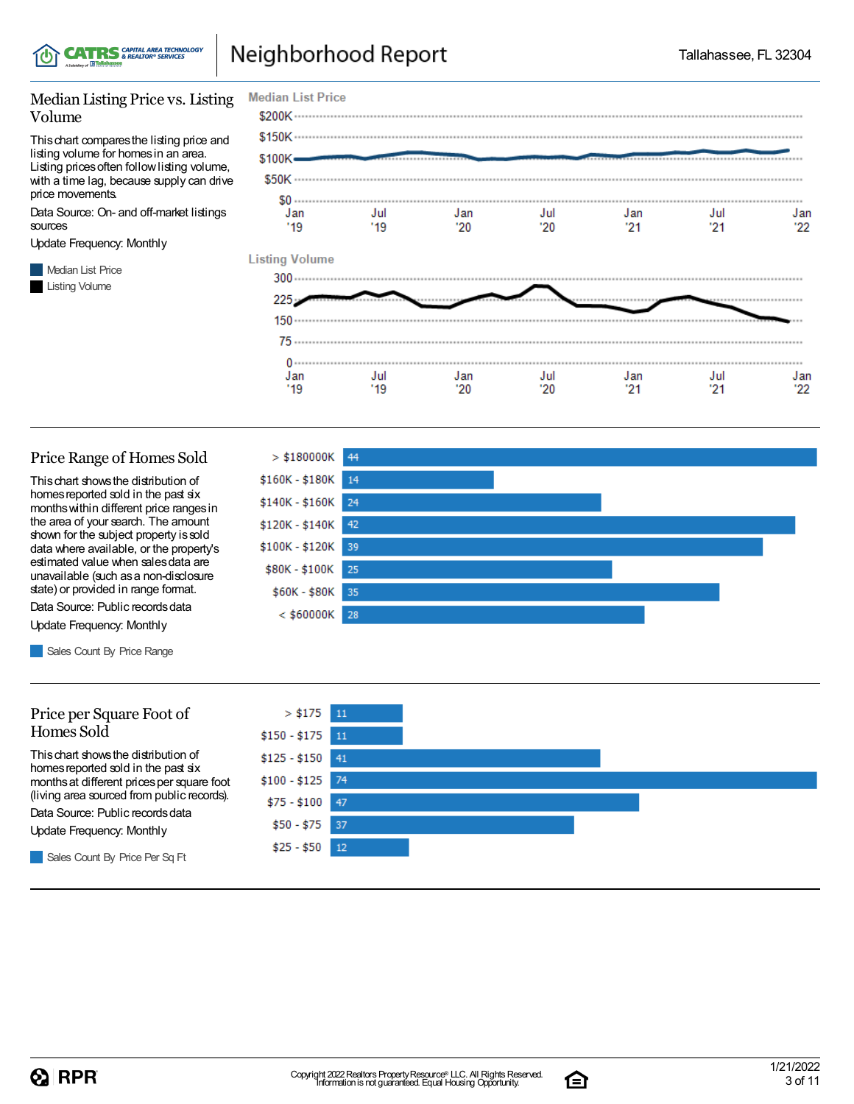

#### Median Listing Price vs. Listing Volume

Thischart comparesthe listing price and listing volume for homesin an area. Listing prices often follow listing volume, with a time lag, because supply can drive price movements.

Data Source: On- and off-market listings sources

Update Frequency: Monthly

**Median List Price** Listing Volume





#### Price Range of Homes Sold

Thischart showsthe distribution of homes reported sold in the past six monthswithin different price rangesin the area of your search. The amount shown for the subject property issold data where available, or the property's estimated value when salesdata are unavailable (such asa non-disclosure state) or provided in range format.

Data Source: Public records data Update Frequency: Monthly

Sales Count By Price Range

#### Price per Square Foot of Homes Sold

Thischart showsthe distribution of homes reported sold in the past six monthsat different pricesper square foot (living area sourced from public records).

Data Source: Public records data

Update Frequency: Monthly

Sales Count By Price Per Sq Ft





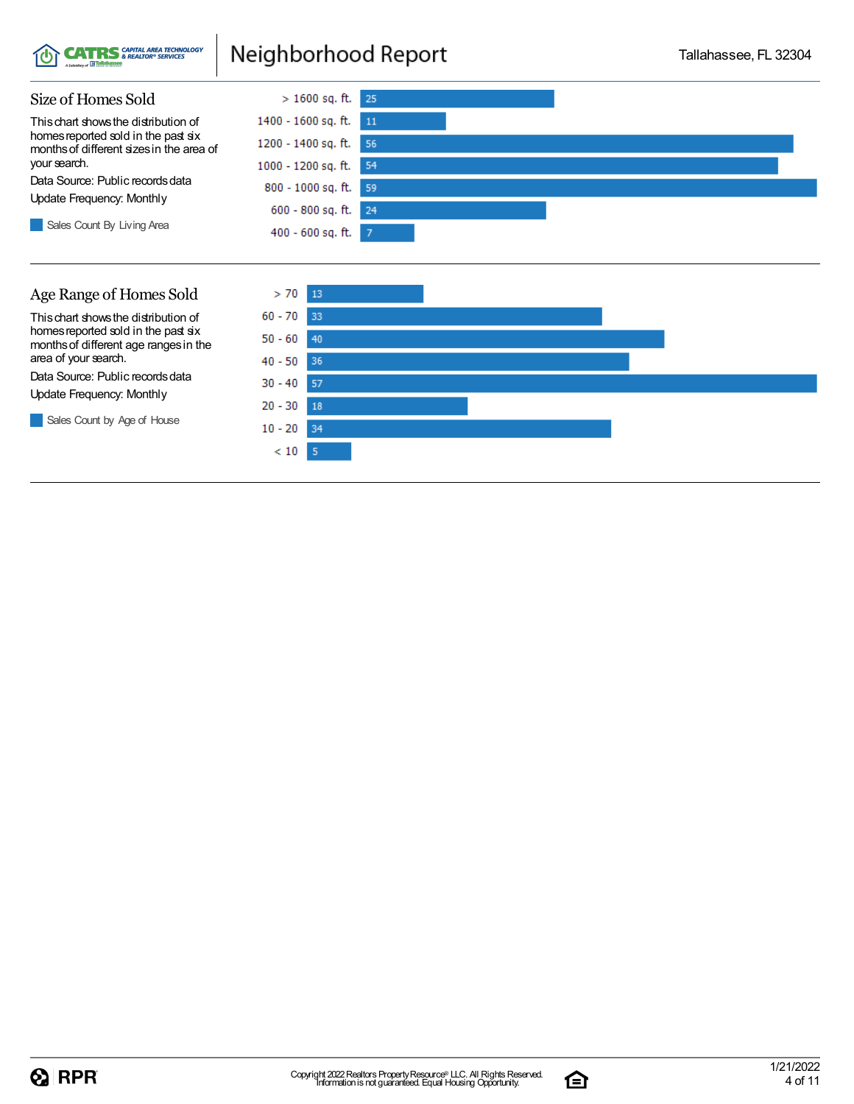

 $30 - 40$ 

 $20 - 30$ 

 $10 - 20$ 

 $< 10$ 

57

18

 $34$ 



Data Source: Public records data Update Frequency: Monthly

Sales Count by Age of House

 $Q$  RPR

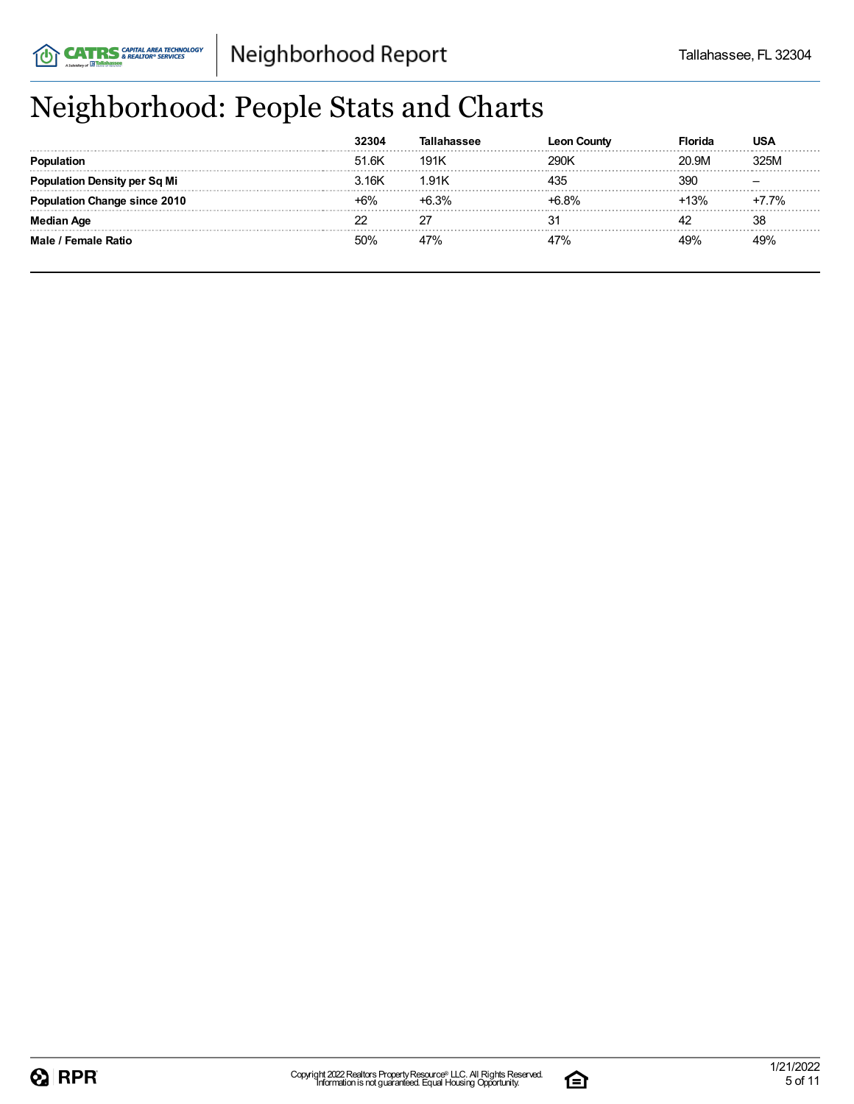## Neighborhood: People Stats and Charts

|                                | 32304       |         | <b>Leon County</b> | lorida | USA      |
|--------------------------------|-------------|---------|--------------------|--------|----------|
|                                | 51.6K       | 191K    | 290K               | 20.9M  | 325M     |
| าtion Density per Sq Mi        | 3.16K       | 1.91K   | 435                | 390    |          |
| <b>1tion Change since 2010</b> | <u> ነ6%</u> | $+6.3%$ | <b>.68%</b>        | 13%    | $-7.7\%$ |
| Median Age                     |             |         |                    |        | 38       |
| Male / Female Ratio            | 50%         | 47%     | 47%                | 19%    |          |

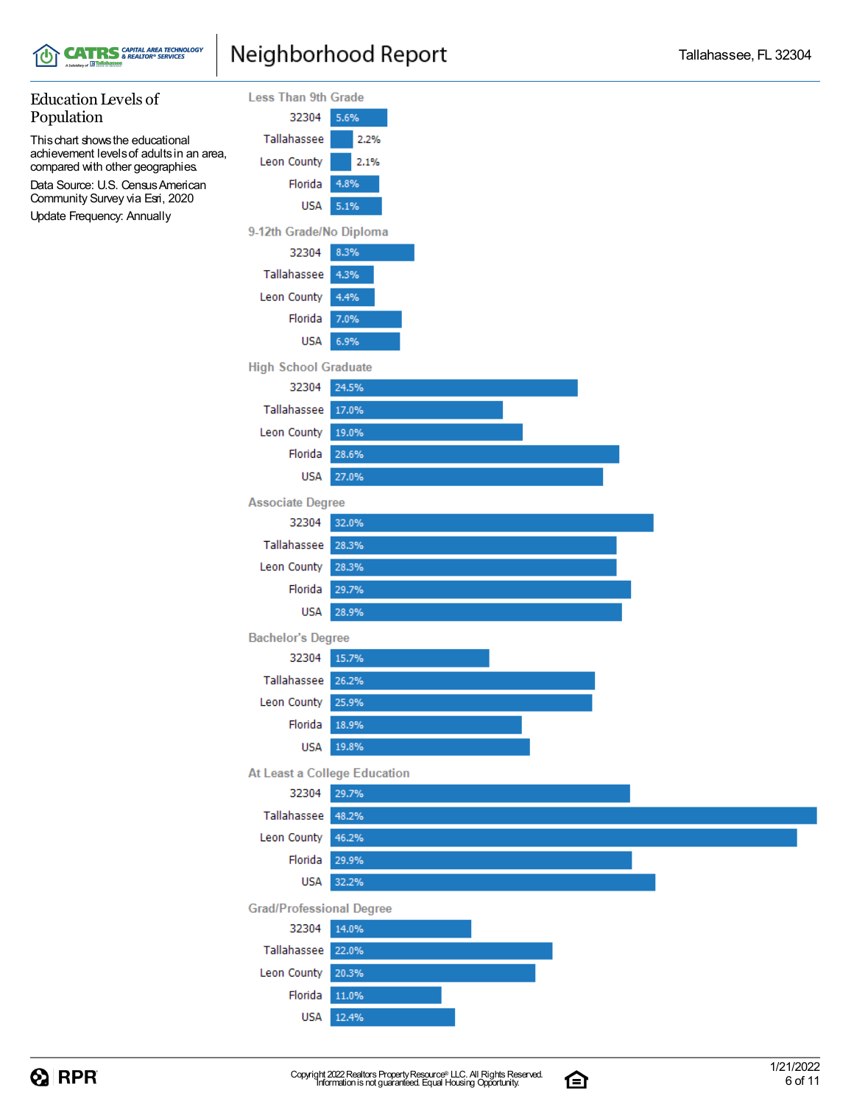



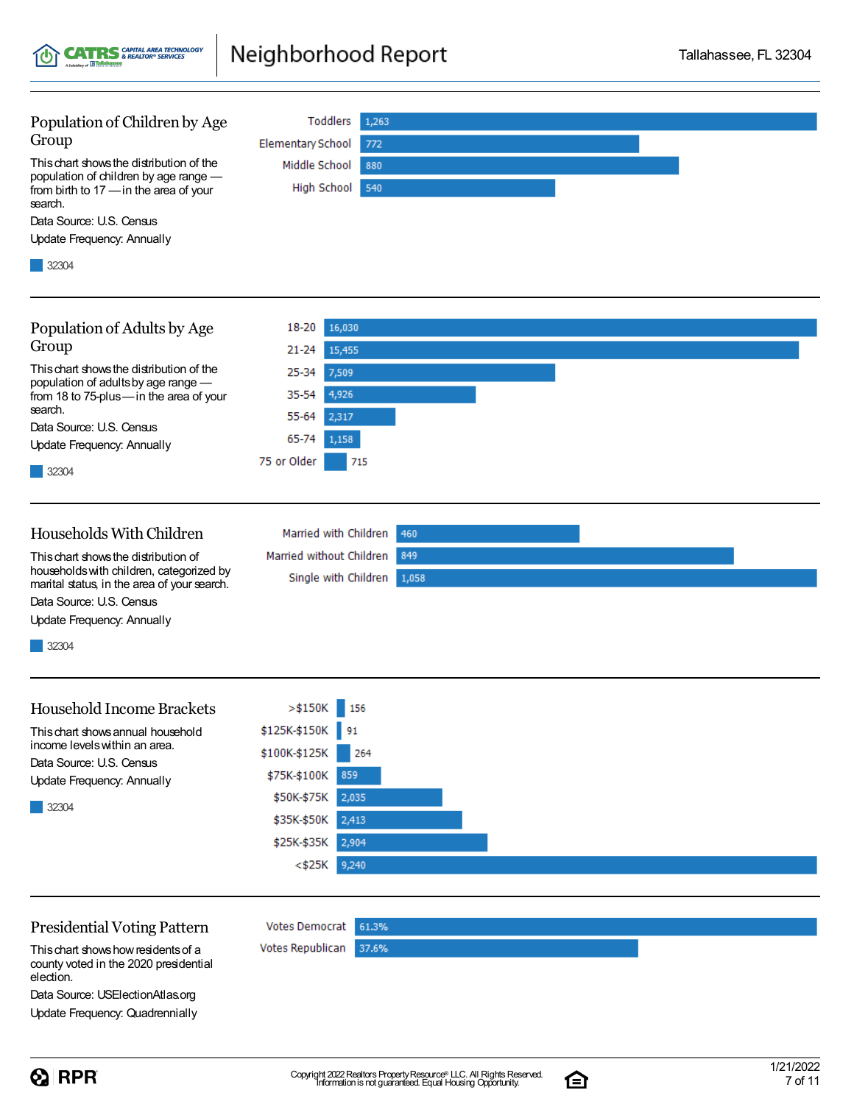**CATRS** CAPITAL AREA TECHNOLOGY  $_{\rm \omega}$  R R

| Population of Children by Age                                                             | Toddlers<br>1,263               |
|-------------------------------------------------------------------------------------------|---------------------------------|
| Group                                                                                     | <b>Elementary School</b><br>772 |
| This chart shows the distribution of the                                                  | Middle School<br>880            |
| population of children by age range -<br>from birth to 17 - in the area of your           | High School 540                 |
| search.                                                                                   |                                 |
| Data Source: U.S. Census<br>Update Frequency: Annually                                    |                                 |
| 32304                                                                                     |                                 |
| Population of Adults by Age                                                               | 18-20<br>16,030                 |
| Group                                                                                     | 21-24<br>15,455                 |
| This chart shows the distribution of the                                                  | 25-34<br>7,509                  |
| population of adults by age range -<br>from 18 to 75-plus-in the area of your             | 4,926<br>35-54                  |
| search.                                                                                   | 55-64<br>2,317                  |
| Data Source: U.S. Census<br>Update Frequency: Annually                                    | 65-74<br>1,158                  |
|                                                                                           | 75 or Older<br>715              |
| 32304                                                                                     |                                 |
| Households With Children                                                                  | Married with Children<br>460    |
| This chart shows the distribution of                                                      | 849<br>Married without Children |
| households with children, categorized by<br>marital status, in the area of your search.   | Single with Children<br>1,058   |
| Data Source: U.S. Census                                                                  |                                 |
| Update Frequency: Annually                                                                |                                 |
| 32304                                                                                     |                                 |
| Household Income Brackets                                                                 | $>$ \$150K<br>156               |
| This chart shows annual household                                                         | \$125K-\$150K<br>91             |
| income levels within an area.                                                             | \$100K-\$125K<br>264            |
| Data Source: U.S. Census                                                                  | \$75K-\$100K 859                |
| Update Frequency: Annually                                                                | \$50K-\$75K 2,035               |
| 32304                                                                                     | \$35K-\$50K<br>2,413            |
|                                                                                           | \$25K-\$35K 2,904               |
|                                                                                           | $<$ \$25K 9,240                 |
|                                                                                           |                                 |
| <b>Presidential Voting Pattern</b>                                                        | <b>Votes Democrat</b><br>61.3%  |
| This chart shows how residents of a<br>county voted in the 2020 presidential<br>election. | Votes Republican<br>37.6%       |

Data Source: USElectionAtlas.org Update Frequency: Quadrennially

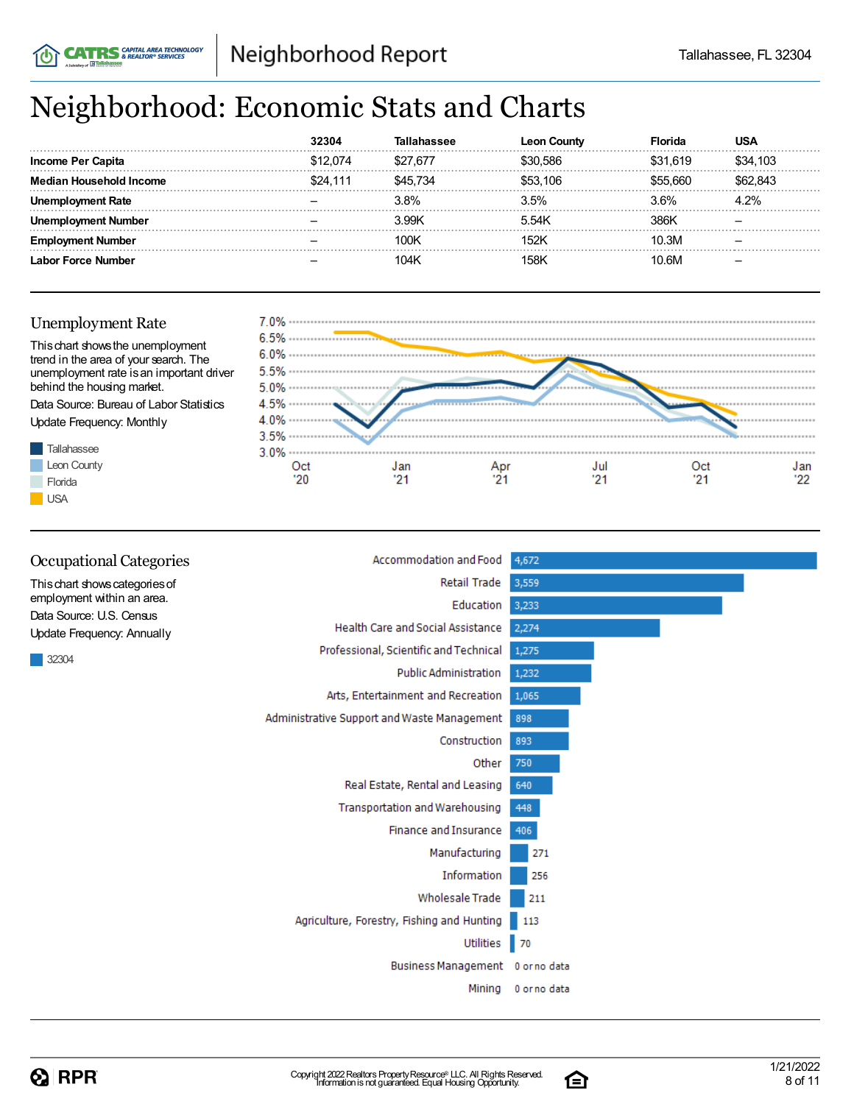## Neighborhood: Economic Stats and Charts

|                          | 32304    |          | n Countv<br>Leor | Florida  |          |
|--------------------------|----------|----------|------------------|----------|----------|
| <b>Income Per Capita</b> | \$12 074 | \$27.677 | 586 S.           | \$31.619 | \$34.103 |
| Household Income         | ፍ24 111  | ፍ⊿5 734  | \$53.106         | ି ନେମ    | 843      |
| ployment Rate            |          | 3.8%     | 3.5%             | 3.6%     | $1.2\%$  |
| ment Number              |          | 3.99K    | 5.54K            | 386K     |          |
| nent Number              |          | 100K     | 152k             | 10.3M    |          |
| Labor Force Number       |          | 104K     | 158K             | 10.6M    |          |

#### Unemployment Rate

**CATRS** & REALTOR® SERVICES





ি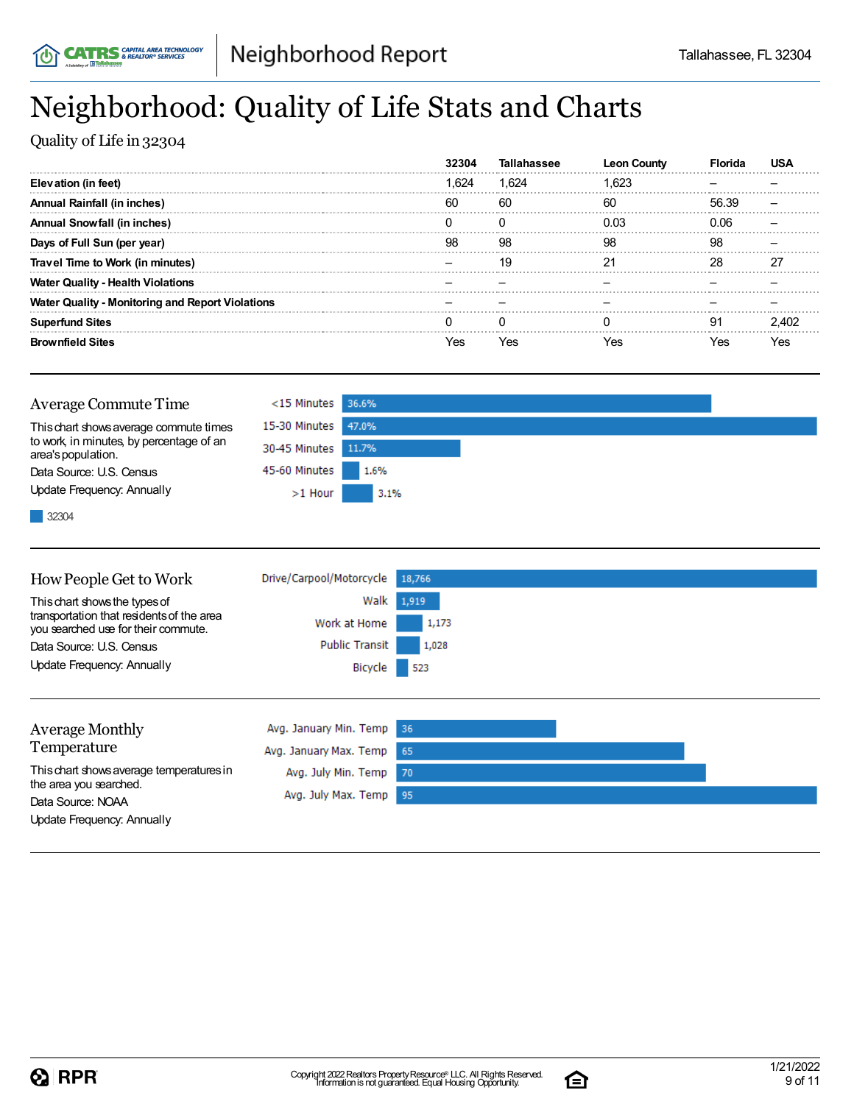## Neighborhood: Quality of Life Stats and Charts

Quality of Life in 32304

|                                                         | 2304 | lall  | Leon Countv |       |     |
|---------------------------------------------------------|------|-------|-------------|-------|-----|
| Elevation (in feet)                                     | .624 | 1.624 | 1.623       |       |     |
| Annual Rainfall (in inches)                             | 60   | 60    | 60          | 56.39 |     |
| Annual Snowfall (in inches)                             |      |       | 0.03        | 0.06  |     |
| Days of Full Sun (per year)                             | 98   | 98    | 98          | 98    |     |
| Travel Time to Work (in minutes)                        |      | 19    |             | 28    |     |
| <b>Water Quality - Health Violations</b>                |      |       |             |       |     |
| <b>Water Quality - Monitoring and Report Violations</b> |      |       |             |       |     |
| <b>Superfund Sites</b>                                  |      |       |             | 91    |     |
| <b>Brownfield Sites</b>                                 | Yes  | Yes   | 'es         | res   | Yes |

| Average Commute Time                                           | <15 Minutes 36.6%   |      |
|----------------------------------------------------------------|---------------------|------|
| This chart shows average commute times                         | 15-30 Minutes 47.0% |      |
| to work, in minutes, by percentage of an<br>area's population. | 30-45 Minutes 11.7% |      |
| Data Source: U.S. Census                                       | 45-60 Minutes       | 1.6% |
| Update Frequency: Annually                                     | $>1$ Hour           | 3.1% |
| 32304                                                          |                     |      |

HowPeople Get to Work Drive/Carpool/Motorcycle 18,766 Walk 1,919 Thischart showsthe typesof transportation that residentsof the area Work at Home 1,173 you searched use for their commute. **Public Transit** 1,028 Data Source: U.S. Census Update Frequency: Annually Bicycle 523 Average Monthly Avg. January Min. Temp 36

Temperature Avg. January Max. Temp 65 Thischart showsaverage temperaturesin Avg. July Min. Temp  $70\,$ the area you searched. Avg. July Max. Temp 95 Data Source: NOAA Update Frequency: Annually

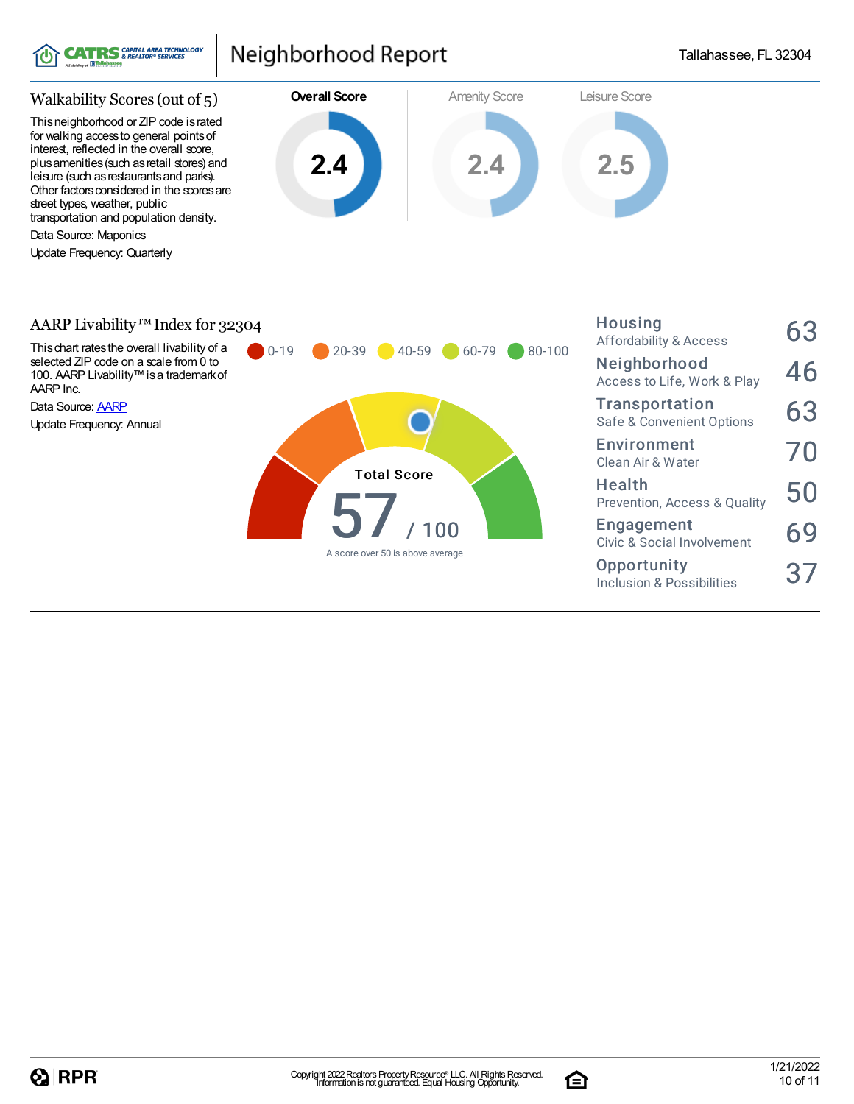





 $\Omega$  RPR